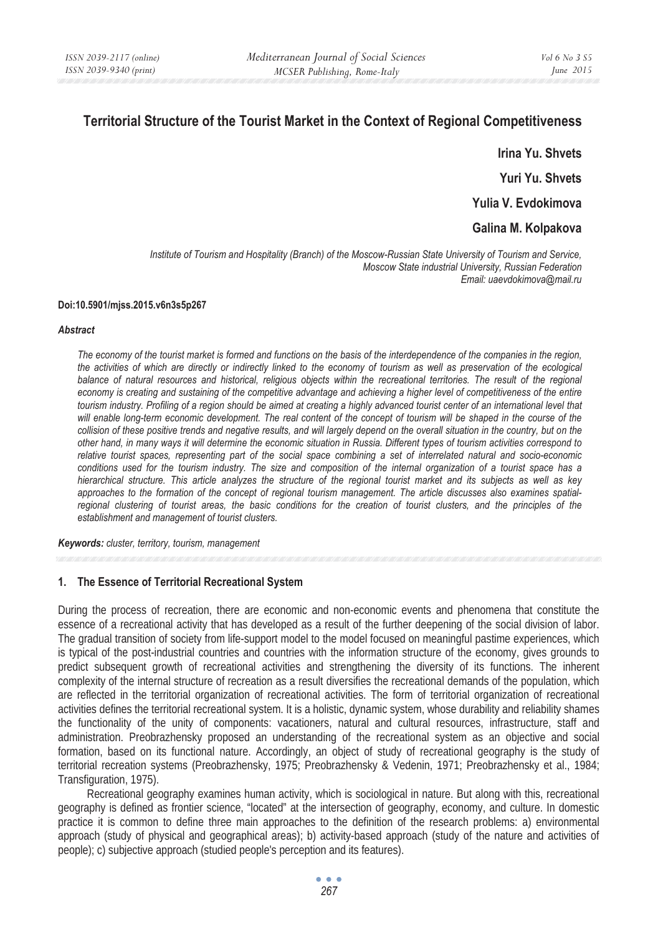# **Territorial Structure of the Tourist Market in the Context of Regional Competitiveness**

**Irina Yu. Shvets Yuri Yu. Shvets Yulia V. Evdokimova** 

# **Galina M. Kolpakova**

*Institute of Tourism and Hospitality (Branch) of the Moscow-Russian State University of Tourism and Service, Moscow State industrial University, Russian Federation Email: uaevdokimova@mail.ru* 

#### **Doi:10.5901/mjss.2015.v6n3s5p267**

#### *Abstract*

*The economy of the tourist market is formed and functions on the basis of the interdependence of the companies in the region, the activities of which are directly or indirectly linked to the economy of tourism as well as preservation of the ecological*  balance of natural resources and historical, religious objects within the recreational territories. The result of the regional *economy is creating and sustaining of the competitive advantage and achieving a higher level of competitiveness of the entire tourism industry. Profiling of a region should be aimed at creating a highly advanced tourist center of an international level that*  will enable long-term economic development. The real content of the concept of tourism will be shaped in the course of the *collision of these positive trends and negative results, and will largely depend on the overall situation in the country, but on the other hand, in many ways it will determine the economic situation in Russia. Different types of tourism activities correspond to relative tourist spaces, representing part of the social space combining a set of interrelated natural and socio-economic conditions used for the tourism industry. The size and composition of the internal organization of a tourist space has a hierarchical structure. This article analyzes the structure of the regional tourist market and its subjects as well as key approaches to the formation of the concept of regional tourism management. The article discusses also examines spatial*regional clustering of tourist areas, the basic conditions for the creation of tourist clusters, and the principles of the *establishment and management of tourist clusters.* 

*Keywords: cluster, territory, tourism, management*

### **1. The Essence of Territorial Recreational System**

During the process of recreation, there are economic and non-economic events and phenomena that constitute the essence of a recreational activity that has developed as a result of the further deepening of the social division of labor. The gradual transition of society from life-support model to the model focused on meaningful pastime experiences, which is typical of the post-industrial countries and countries with the information structure of the economy, gives grounds to predict subsequent growth of recreational activities and strengthening the diversity of its functions. The inherent complexity of the internal structure of recreation as a result diversifies the recreational demands of the population, which are reflected in the territorial organization of recreational activities. The form of territorial organization of recreational activities defines the territorial recreational system. It is a holistic, dynamic system, whose durability and reliability shames the functionality of the unity of components: vacationers, natural and cultural resources, infrastructure, staff and administration. Preobrazhensky proposed an understanding of the recreational system as an objective and social formation, based on its functional nature. Accordingly, an object of study of recreational geography is the study of territorial recreation systems (Preobrazhensky, 1975; Preobrazhensky & Vedenin, 1971; Preobrazhensky et al., 1984; Transfiguration, 1975).

Recreational geography examines human activity, which is sociological in nature. But along with this, recreational geography is defined as frontier science, "located" at the intersection of geography, economy, and culture. In domestic practice it is common to define three main approaches to the definition of the research problems: a) environmental approach (study of physical and geographical areas); b) activity-based approach (study of the nature and activities of people); c) subjective approach (studied people's perception and its features).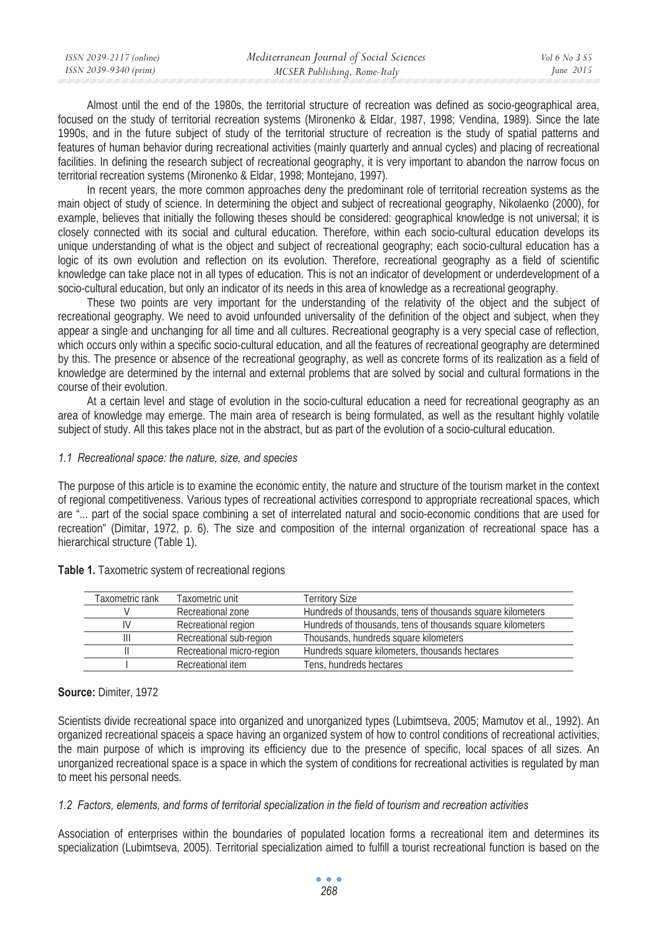| ISSN 2039-2117 (online) | Mediterranean Journal of Social Sciences | Vol 6 No. 3 S5 |
|-------------------------|------------------------------------------|----------------|
| ISSN 2039-9340 (print)  | MCSER Publishing, Rome-Italy             | June $2015$    |
|                         |                                          |                |

Almost until the end of the 1980s, the territorial structure of recreation was defined as socio-geographical area, focused on the study of territorial recreation systems (Mironenko & Eldar, 1987, 1998; Vendina, 1989). Since the late 1990s, and in the future subject of study of the territorial structure of recreation is the study of spatial patterns and features of human behavior during recreational activities (mainly quarterly and annual cycles) and placing of recreational facilities. In defining the research subject of recreational geography, it is very important to abandon the narrow focus on territorial recreation systems (Mironenko & Eldar, 1998; Montejano, 1997).

In recent years, the more common approaches deny the predominant role of territorial recreation systems as the main object of study of science. In determining the object and subject of recreational geography, Nikolaenko (2000), for example, believes that initially the following theses should be considered: geographical knowledge is not universal; it is closely connected with its social and cultural education. Therefore, within each socio-cultural education develops its unique understanding of what is the object and subject of recreational geography; each socio-cultural education has a logic of its own evolution and reflection on its evolution. Therefore, recreational geography as a field of scientific knowledge can take place not in all types of education. This is not an indicator of development or underdevelopment of a socio-cultural education, but only an indicator of its needs in this area of knowledge as a recreational geography.

These two points are very important for the understanding of the relativity of the object and the subject of recreational geography. We need to avoid unfounded universality of the definition of the object and subject, when they appear a single and unchanging for all time and all cultures. Recreational geography is a very special case of reflection, which occurs only within a specific socio-cultural education, and all the features of recreational geography are determined by this. The presence or absence of the recreational geography, as well as concrete forms of its realization as a field of knowledge are determined by the internal and external problems that are solved by social and cultural formations in the course of their evolution.

At a certain level and stage of evolution in the socio-cultural education a need for recreational geography as an area of knowledge may emerge. The main area of research is being formulated, as well as the resultant highly volatile subject of study. All this takes place not in the abstract, but as part of the evolution of a socio-cultural education.

#### *1.1 Recreational space: the nature, size, and species*

The purpose of this article is to examine the economic entity, the nature and structure of the tourism market in the context of regional competitiveness. Various types of recreational activities correspond to appropriate recreational spaces, which are "... part of the social space combining a set of interrelated natural and socio-economic conditions that are used for recreation" (Dimitar, 1972, p. 6). The size and composition of the internal organization of recreational space has a hierarchical structure (Table 1).

| Taxometric rank | Taxometric unit           | Territory Size                                             |
|-----------------|---------------------------|------------------------------------------------------------|
|                 | Recreational zone         | Hundreds of thousands, tens of thousands square kilometers |
| 1V              | Recreational region       | Hundreds of thousands, tens of thousands square kilometers |
| Ш               | Recreational sub-region   | Thousands, hundreds square kilometers                      |
|                 | Recreational micro-region | Hundreds square kilometers, thousands hectares             |
|                 | Recreational item         | Tens, hundreds hectares                                    |

**Table 1.** Taxometric system of recreational regions

### **Source:** Dimiter, 1972

Scientists divide recreational space into organized and unorganized types (Lubimtseva, 2005; Mamutov et al., 1992). An organized recreational spaceis a space having an organized system of how to control conditions of recreational activities, the main purpose of which is improving its efficiency due to the presence of specific, local spaces of all sizes. An unorganized recreational space is a space in which the system of conditions for recreational activities is regulated by man to meet his personal needs.

### *1.2 Factors, elements, and forms of territorial specialization in the field of tourism and recreation activities*

Association of enterprises within the boundaries of populated location forms a recreational item and determines its specialization (Lubimtseva, 2005). Territorial specialization aimed to fulfill a tourist recreational function is based on the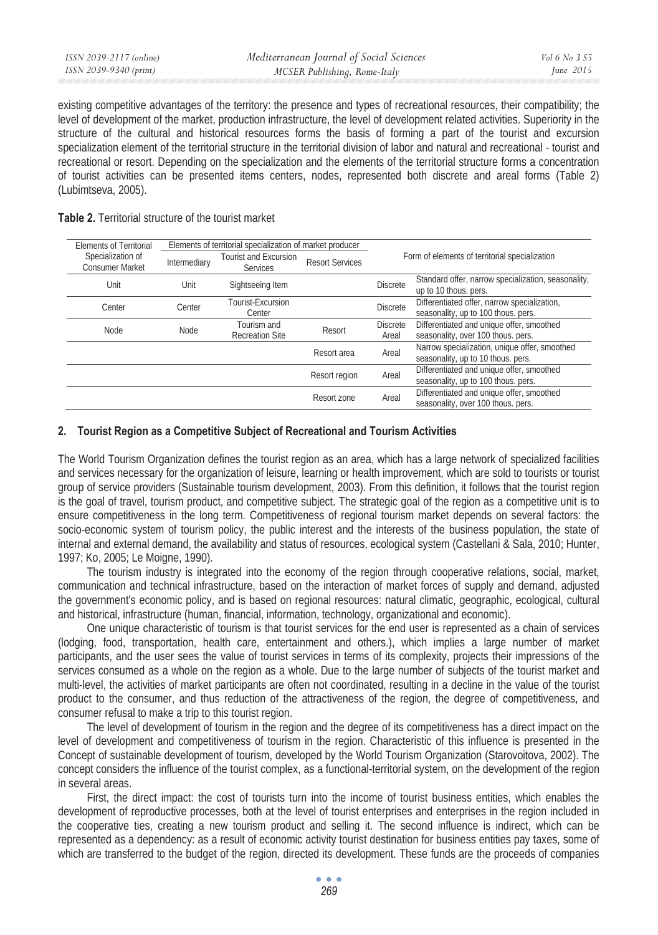| ISSN 2039-2117 (online) | Mediterranean Journal of Social Sciences | Vol 6 No 3 S5 |
|-------------------------|------------------------------------------|---------------|
| ISSN 2039-9340 (print)  | MCSER Publishing, Rome-Italy             | June $2015$   |

existing competitive advantages of the territory: the presence and types of recreational resources, their compatibility; the level of development of the market, production infrastructure, the level of development related activities. Superiority in the structure of the cultural and historical resources forms the basis of forming a part of the tourist and excursion specialization element of the territorial structure in the territorial division of labor and natural and recreational - tourist and recreational or resort. Depending on the specialization and the elements of the territorial structure forms a concentration of tourist activities can be presented items centers, nodes, represented both discrete and areal forms (Table 2) (Lubimtseva, 2005).

#### **Table 2.** Territorial structure of the tourist market

| <b>Flements of Territorial</b>              | Elements of territorial specialization of market producer |                                                 |                        |                                                |                                                                                     |
|---------------------------------------------|-----------------------------------------------------------|-------------------------------------------------|------------------------|------------------------------------------------|-------------------------------------------------------------------------------------|
| Specialization of<br><b>Consumer Market</b> | Intermediary                                              | <b>Tourist and Excursion</b><br><b>Services</b> | <b>Resort Services</b> | Form of elements of territorial specialization |                                                                                     |
| Unit                                        | Unit                                                      | Sightseeing Item                                |                        | <b>Discrete</b>                                | Standard offer, narrow specialization, seasonality,<br>up to 10 thous. pers.        |
| Center                                      | Center                                                    | Tourist-Excursion<br>Center                     |                        | <b>Discrete</b>                                | Differentiated offer, narrow specialization,<br>seasonality, up to 100 thous. pers. |
| Node                                        | Node                                                      | Tourism and<br><b>Recreation Site</b>           | Resort                 | <b>Discrete</b><br>Areal                       | Differentiated and unique offer, smoothed<br>seasonality, over 100 thous. pers.     |
|                                             |                                                           |                                                 | Resort area            | Areal                                          | Narrow specialization, unique offer, smoothed<br>seasonality, up to 10 thous. pers. |
|                                             |                                                           |                                                 | Resort region          | Areal                                          | Differentiated and unique offer, smoothed<br>seasonality, up to 100 thous. pers.    |
|                                             |                                                           |                                                 | Resort zone            | Areal                                          | Differentiated and unique offer, smoothed<br>seasonality, over 100 thous, pers.     |

### **2. Tourist Region as a Competitive Subject of Recreational and Tourism Activities**

The World Tourism Organization defines the tourist region as an area, which has a large network of specialized facilities and services necessary for the organization of leisure, learning or health improvement, which are sold to tourists or tourist group of service providers (Sustainable tourism development, 2003). From this definition, it follows that the tourist region is the goal of travel, tourism product, and competitive subject. The strategic goal of the region as a competitive unit is to ensure competitiveness in the long term. Competitiveness of regional tourism market depends on several factors: the socio-economic system of tourism policy, the public interest and the interests of the business population, the state of internal and external demand, the availability and status of resources, ecological system (Castellani & Sala, 2010; Hunter, 1997; Ko, 2005; Le Moigne, 1990).

The tourism industry is integrated into the economy of the region through cooperative relations, social, market, communication and technical infrastructure, based on the interaction of market forces of supply and demand, adjusted the government's economic policy, and is based on regional resources: natural climatic, geographic, ecological, cultural and historical, infrastructure (human, financial, information, technology, organizational and economic).

One unique characteristic of tourism is that tourist services for the end user is represented as a chain of services (lodging, food, transportation, health care, entertainment and others.), which implies a large number of market participants, and the user sees the value of tourist services in terms of its complexity, projects their impressions of the services consumed as a whole on the region as a whole. Due to the large number of subjects of the tourist market and multi-level, the activities of market participants are often not coordinated, resulting in a decline in the value of the tourist product to the consumer, and thus reduction of the attractiveness of the region, the degree of competitiveness, and consumer refusal to make a trip to this tourist region.

The level of development of tourism in the region and the degree of its competitiveness has a direct impact on the level of development and competitiveness of tourism in the region. Characteristic of this influence is presented in the Concept of sustainable development of tourism, developed by the World Tourism Organization (Starovoitova, 2002). The concept considers the influence of the tourist complex, as a functional-territorial system, on the development of the region in several areas.

First, the direct impact: the cost of tourists turn into the income of tourist business entities, which enables the development of reproductive processes, both at the level of tourist enterprises and enterprises in the region included in the cooperative ties, creating a new tourism product and selling it. The second influence is indirect, which can be represented as a dependency: as a result of economic activity tourist destination for business entities pay taxes, some of which are transferred to the budget of the region, directed its development. These funds are the proceeds of companies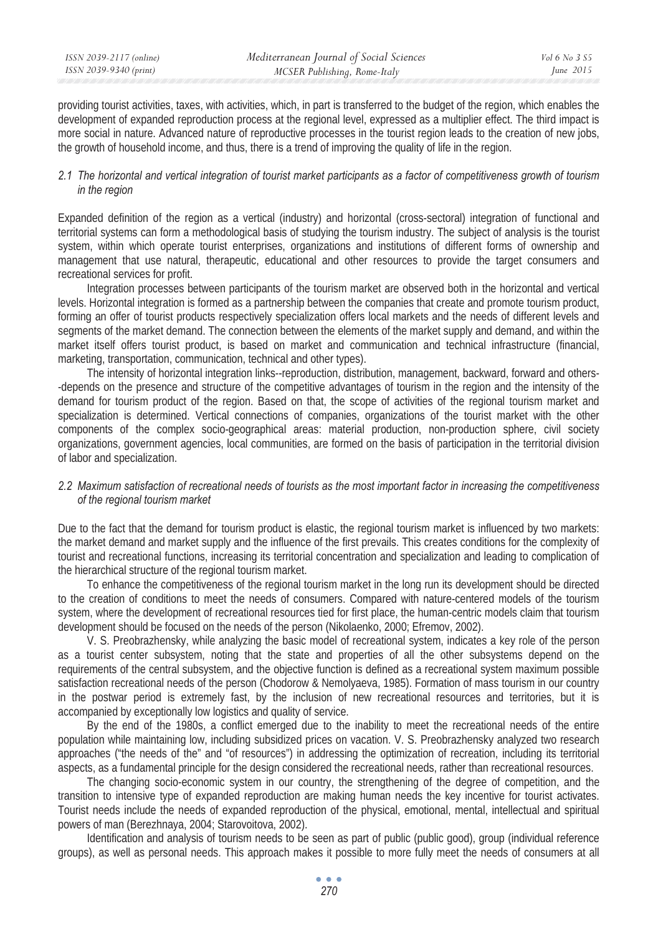providing tourist activities, taxes, with activities, which, in part is transferred to the budget of the region, which enables the development of expanded reproduction process at the regional level, expressed as a multiplier effect. The third impact is more social in nature. Advanced nature of reproductive processes in the tourist region leads to the creation of new jobs, the growth of household income, and thus, there is a trend of improving the quality of life in the region.

### *2.1 The horizontal and vertical integration of tourist market participants as a factor of competitiveness growth of tourism in the region*

Expanded definition of the region as a vertical (industry) and horizontal (cross-sectoral) integration of functional and territorial systems can form a methodological basis of studying the tourism industry. The subject of analysis is the tourist system, within which operate tourist enterprises, organizations and institutions of different forms of ownership and management that use natural, therapeutic, educational and other resources to provide the target consumers and recreational services for profit.

Integration processes between participants of the tourism market are observed both in the horizontal and vertical levels. Horizontal integration is formed as a partnership between the companies that create and promote tourism product, forming an offer of tourist products respectively specialization offers local markets and the needs of different levels and segments of the market demand. The connection between the elements of the market supply and demand, and within the market itself offers tourist product, is based on market and communication and technical infrastructure (financial, marketing, transportation, communication, technical and other types).

The intensity of horizontal integration links--reproduction, distribution, management, backward, forward and others- -depends on the presence and structure of the competitive advantages of tourism in the region and the intensity of the demand for tourism product of the region. Based on that, the scope of activities of the regional tourism market and specialization is determined. Vertical connections of companies, organizations of the tourist market with the other components of the complex socio-geographical areas: material production, non-production sphere, civil society organizations, government agencies, local communities, are formed on the basis of participation in the territorial division of labor and specialization.

### *2.2 Maximum satisfaction of recreational needs of tourists as the most important factor in increasing the competitiveness of the regional tourism market*

Due to the fact that the demand for tourism product is elastic, the regional tourism market is influenced by two markets: the market demand and market supply and the influence of the first prevails. This creates conditions for the complexity of tourist and recreational functions, increasing its territorial concentration and specialization and leading to complication of the hierarchical structure of the regional tourism market.

To enhance the competitiveness of the regional tourism market in the long run its development should be directed to the creation of conditions to meet the needs of consumers. Compared with nature-centered models of the tourism system, where the development of recreational resources tied for first place, the human-centric models claim that tourism development should be focused on the needs of the person (Nikolaenko, 2000; Efremov, 2002).

V. S. Preobrazhensky, while analyzing the basic model of recreational system, indicates a key role of the person as a tourist center subsystem, noting that the state and properties of all the other subsystems depend on the requirements of the central subsystem, and the objective function is defined as a recreational system maximum possible satisfaction recreational needs of the person (Chodorow & Nemolyaeva, 1985). Formation of mass tourism in our country in the postwar period is extremely fast, by the inclusion of new recreational resources and territories, but it is accompanied by exceptionally low logistics and quality of service.

By the end of the 1980s, a conflict emerged due to the inability to meet the recreational needs of the entire population while maintaining low, including subsidized prices on vacation. V. S. Preobrazhensky analyzed two research approaches ("the needs of the" and "of resources") in addressing the optimization of recreation, including its territorial aspects, as a fundamental principle for the design considered the recreational needs, rather than recreational resources.

The changing socio-economic system in our country, the strengthening of the degree of competition, and the transition to intensive type of expanded reproduction are making human needs the key incentive for tourist activates. Tourist needs include the needs of expanded reproduction of the physical, emotional, mental, intellectual and spiritual powers of man (Berezhnaya, 2004; Starovoitova, 2002).

Identification and analysis of tourism needs to be seen as part of public (public good), group (individual reference groups), as well as personal needs. This approach makes it possible to more fully meet the needs of consumers at all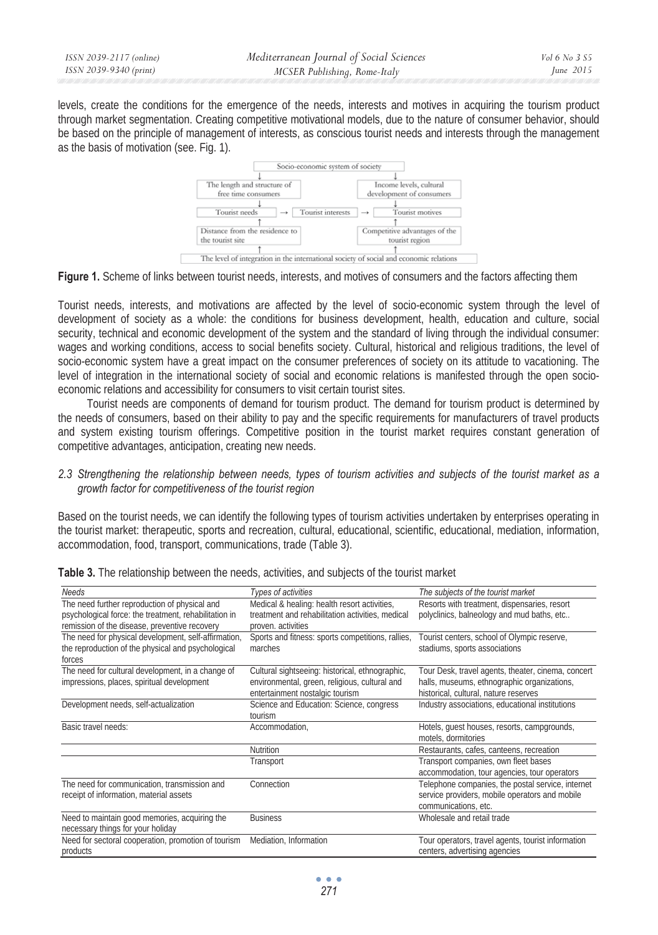levels, create the conditions for the emergence of the needs, interests and motives in acquiring the tourism product through market segmentation. Creating competitive motivational models, due to the nature of consumer behavior, should be based on the principle of management of interests, as conscious tourist needs and interests through the management as the basis of motivation (see. Fig. 1).



**Figure 1.** Scheme of links between tourist needs, interests, and motives of consumers and the factors affecting them

Tourist needs, interests, and motivations are affected by the level of socio-economic system through the level of development of society as a whole: the conditions for business development, health, education and culture, social security, technical and economic development of the system and the standard of living through the individual consumer: wages and working conditions, access to social benefits society. Cultural, historical and religious traditions, the level of socio-economic system have a great impact on the consumer preferences of society on its attitude to vacationing. The level of integration in the international society of social and economic relations is manifested through the open socioeconomic relations and accessibility for consumers to visit certain tourist sites.

Tourist needs are components of demand for tourism product. The demand for tourism product is determined by the needs of consumers, based on their ability to pay and the specific requirements for manufacturers of travel products and system existing tourism offerings. Competitive position in the tourist market requires constant generation of competitive advantages, anticipation, creating new needs.

### *2.3 Strengthening the relationship between needs, types of tourism activities and subjects of the tourist market as a growth factor for competitiveness of the tourist region*

Based on the tourist needs, we can identify the following types of tourism activities undertaken by enterprises operating in the tourist market: therapeutic, sports and recreation, cultural, educational, scientific, educational, mediation, information, accommodation, food, transport, communications, trade (Table 3).

| Needs                                                                                                                                                   | Types of activities                                                                                                                 | The subjects of the tourist market                                                                                                         |
|---------------------------------------------------------------------------------------------------------------------------------------------------------|-------------------------------------------------------------------------------------------------------------------------------------|--------------------------------------------------------------------------------------------------------------------------------------------|
| The need further reproduction of physical and<br>psychological force: the treatment, rehabilitation in<br>remission of the disease, preventive recovery | Medical & healing: health resort activities,<br>treatment and rehabilitation activities, medical<br>proven. activities              | Resorts with treatment, dispensaries, resort<br>polyclinics, balneology and mud baths, etc                                                 |
| The need for physical development, self-affirmation,<br>the reproduction of the physical and psychological<br>forces                                    | Sports and fitness: sports competitions, rallies,<br>marches                                                                        | Tourist centers, school of Olympic reserve,<br>stadiums, sports associations                                                               |
| The need for cultural development, in a change of<br>impressions, places, spiritual development                                                         | Cultural sightseeing: historical, ethnographic,<br>environmental, green, religious, cultural and<br>entertainment nostalgic tourism | Tour Desk, travel agents, theater, cinema, concert<br>halls, museums, ethnographic organizations,<br>historical, cultural, nature reserves |
| Development needs, self-actualization                                                                                                                   | Science and Education: Science, congress<br>tourism                                                                                 | Industry associations, educational institutions                                                                                            |
| Basic travel needs:                                                                                                                                     | Accommodation,                                                                                                                      | Hotels, quest houses, resorts, campgrounds,<br>motels, dormitories                                                                         |
|                                                                                                                                                         | Nutrition                                                                                                                           | Restaurants, cafes, canteens, recreation                                                                                                   |
|                                                                                                                                                         | Transport                                                                                                                           | Transport companies, own fleet bases<br>accommodation, tour agencies, tour operators                                                       |
| The need for communication, transmission and<br>receipt of information, material assets                                                                 | Connection                                                                                                                          | Telephone companies, the postal service, internet<br>service providers, mobile operators and mobile<br>communications, etc.                |
| Need to maintain good memories, acquiring the<br>necessary things for your holiday                                                                      | <b>Business</b>                                                                                                                     | Wholesale and retail trade                                                                                                                 |
| Need for sectoral cooperation, promotion of tourism<br>products                                                                                         | Mediation, Information                                                                                                              | Tour operators, travel agents, tourist information<br>centers, advertising agencies                                                        |

**Table 3.** The relationship between the needs, activities, and subjects of the tourist market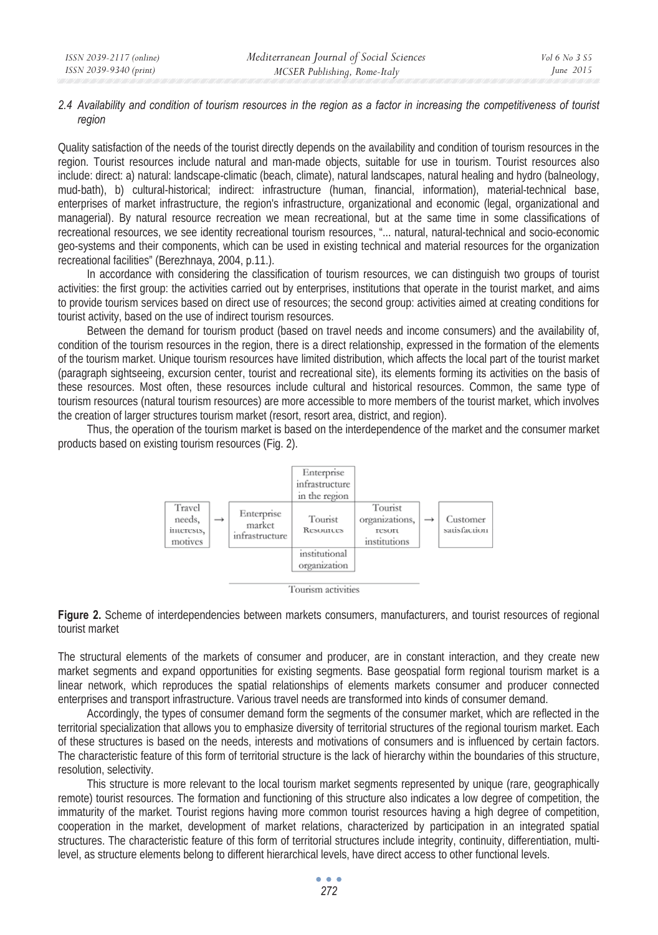*2.4 Availability and condition of tourism resources in the region as a factor in increasing the competitiveness of tourist region* 

Quality satisfaction of the needs of the tourist directly depends on the availability and condition of tourism resources in the region. Tourist resources include natural and man-made objects, suitable for use in tourism. Tourist resources also include: direct: a) natural: landscape-climatic (beach, climate), natural landscapes, natural healing and hydro (balneology, mud-bath), b) cultural-historical; indirect: infrastructure (human, financial, information), material-technical base, enterprises of market infrastructure, the region's infrastructure, organizational and economic (legal, organizational and managerial). By natural resource recreation we mean recreational, but at the same time in some classifications of recreational resources, we see identity recreational tourism resources, "... natural, natural-technical and socio-economic geo-systems and their components, which can be used in existing technical and material resources for the organization recreational facilities" (Berezhnaya, 2004, p.11.).

In accordance with considering the classification of tourism resources, we can distinguish two groups of tourist activities: the first group: the activities carried out by enterprises, institutions that operate in the tourist market, and aims to provide tourism services based on direct use of resources; the second group: activities aimed at creating conditions for tourist activity, based on the use of indirect tourism resources.

Between the demand for tourism product (based on travel needs and income consumers) and the availability of, condition of the tourism resources in the region, there is a direct relationship, expressed in the formation of the elements of the tourism market. Unique tourism resources have limited distribution, which affects the local part of the tourist market (paragraph sightseeing, excursion center, tourist and recreational site), its elements forming its activities on the basis of these resources. Most often, these resources include cultural and historical resources. Common, the same type of tourism resources (natural tourism resources) are more accessible to more members of the tourist market, which involves the creation of larger structures tourism market (resort, resort area, district, and region).

Thus, the operation of the tourism market is based on the interdependence of the market and the consumer market products based on existing tourism resources (Fig. 2).



Tourism activities

**Figure 2.** Scheme of interdependencies between markets consumers, manufacturers, and tourist resources of regional tourist market

The structural elements of the markets of consumer and producer, are in constant interaction, and they create new market segments and expand opportunities for existing segments. Base geospatial form regional tourism market is a linear network, which reproduces the spatial relationships of elements markets consumer and producer connected enterprises and transport infrastructure. Various travel needs are transformed into kinds of consumer demand.

Accordingly, the types of consumer demand form the segments of the consumer market, which are reflected in the territorial specialization that allows you to emphasize diversity of territorial structures of the regional tourism market. Each of these structures is based on the needs, interests and motivations of consumers and is influenced by certain factors. The characteristic feature of this form of territorial structure is the lack of hierarchy within the boundaries of this structure, resolution, selectivity.

This structure is more relevant to the local tourism market segments represented by unique (rare, geographically remote) tourist resources. The formation and functioning of this structure also indicates a low degree of competition, the immaturity of the market. Tourist regions having more common tourist resources having a high degree of competition, cooperation in the market, development of market relations, characterized by participation in an integrated spatial structures. The characteristic feature of this form of territorial structures include integrity, continuity, differentiation, multilevel, as structure elements belong to different hierarchical levels, have direct access to other functional levels.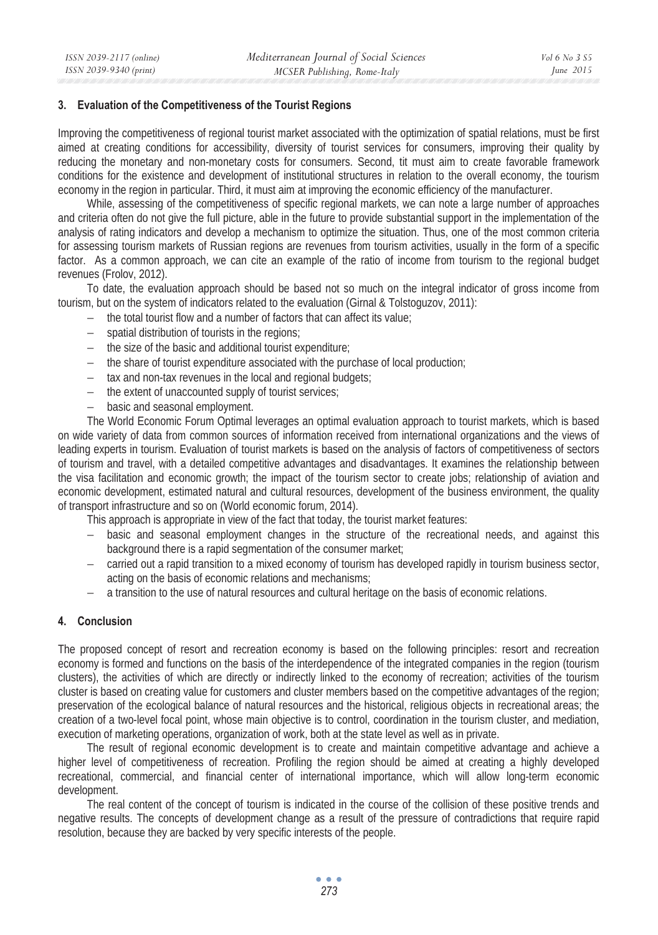# **3. Evaluation of the Competitiveness of the Tourist Regions**

Improving the competitiveness of regional tourist market associated with the optimization of spatial relations, must be first aimed at creating conditions for accessibility, diversity of tourist services for consumers, improving their quality by reducing the monetary and non-monetary costs for consumers. Second, tit must aim to create favorable framework conditions for the existence and development of institutional structures in relation to the overall economy, the tourism economy in the region in particular. Third, it must aim at improving the economic efficiency of the manufacturer.

While, assessing of the competitiveness of specific regional markets, we can note a large number of approaches and criteria often do not give the full picture, able in the future to provide substantial support in the implementation of the analysis of rating indicators and develop a mechanism to optimize the situation. Thus, one of the most common criteria for assessing tourism markets of Russian regions are revenues from tourism activities, usually in the form of a specific factor. As a common approach, we can cite an example of the ratio of income from tourism to the regional budget revenues (Frolov, 2012).

To date, the evaluation approach should be based not so much on the integral indicator of gross income from tourism, but on the system of indicators related to the evaluation (Girnal & Tolstoguzov, 2011):

- − the total tourist flow and a number of factors that can affect its value;
- − spatial distribution of tourists in the regions;
- − the size of the basic and additional tourist expenditure;
- − the share of tourist expenditure associated with the purchase of local production;
- − tax and non-tax revenues in the local and regional budgets;
- − the extent of unaccounted supply of tourist services;
- − basic and seasonal employment.

The World Economic Forum Optimal leverages an optimal evaluation approach to tourist markets, which is based on wide variety of data from common sources of information received from international organizations and the views of leading experts in tourism. Evaluation of tourist markets is based on the analysis of factors of competitiveness of sectors of tourism and travel, with a detailed competitive advantages and disadvantages. It examines the relationship between the visa facilitation and economic growth; the impact of the tourism sector to create jobs; relationship of aviation and economic development, estimated natural and cultural resources, development of the business environment, the quality of transport infrastructure and so on (World economic forum, 2014).

This approach is appropriate in view of the fact that today, the tourist market features:

- basic and seasonal employment changes in the structure of the recreational needs, and against this background there is a rapid segmentation of the consumer market;
- − carried out a rapid transition to a mixed economy of tourism has developed rapidly in tourism business sector, acting on the basis of economic relations and mechanisms;
- a transition to the use of natural resources and cultural heritage on the basis of economic relations.

# **4. Conclusion**

The proposed concept of resort and recreation economy is based on the following principles: resort and recreation economy is formed and functions on the basis of the interdependence of the integrated companies in the region (tourism clusters), the activities of which are directly or indirectly linked to the economy of recreation; activities of the tourism cluster is based on creating value for customers and cluster members based on the competitive advantages of the region; preservation of the ecological balance of natural resources and the historical, religious objects in recreational areas; the creation of a two-level focal point, whose main objective is to control, coordination in the tourism cluster, and mediation, execution of marketing operations, organization of work, both at the state level as well as in private.

The result of regional economic development is to create and maintain competitive advantage and achieve a higher level of competitiveness of recreation. Profiling the region should be aimed at creating a highly developed recreational, commercial, and financial center of international importance, which will allow long-term economic development.

The real content of the concept of tourism is indicated in the course of the collision of these positive trends and negative results. The concepts of development change as a result of the pressure of contradictions that require rapid resolution, because they are backed by very specific interests of the people.